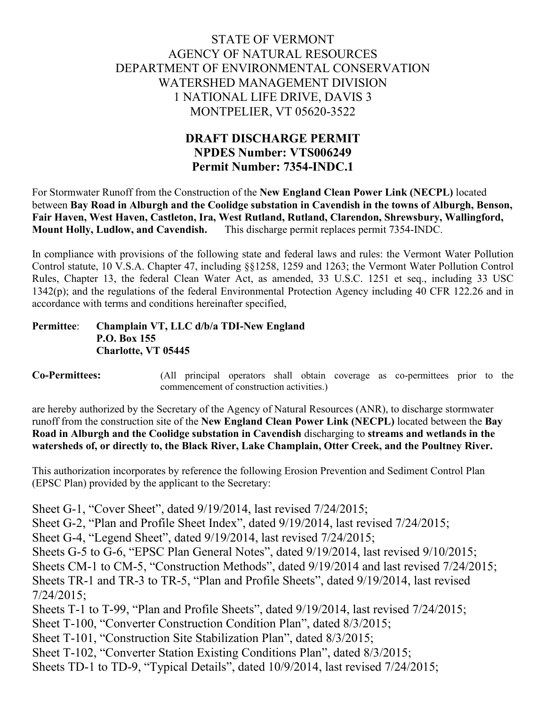## STATE OF VERMONT AGENCY OF NATURAL RESOURCES DEPARTMENT OF ENVIRONMENTAL CONSERVATION WATERSHED MANAGEMENT DIVISION 1 NATIONAL LIFE DRIVE, DAVIS 3 MONTPELIER, VT 05620-3522

## **DRAFT DISCHARGE PERMIT NPDES Number: VTS006249 Permit Number: 7354-INDC.1**

For Stormwater Runoff from the Construction of the **New England Clean Power Link (NECPL)** located between **Bay Road in Alburgh and the Coolidge substation in Cavendish in the towns of Alburgh, Benson, Fair Haven, West Haven, Castleton, Ira, West Rutland, Rutland, Clarendon, Shrewsbury, Wallingford, Mount Holly, Ludlow, and Cavendish.** This discharge permit replaces permit 7354-INDC.

In compliance with provisions of the following state and federal laws and rules: the Vermont Water Pollution Control statute, 10 V.S.A. Chapter 47, including §§1258, 1259 and 1263; the Vermont Water Pollution Control Rules, Chapter 13, the federal Clean Water Act, as amended, 33 U.S.C. 1251 et seq., including 33 USC 1342(p); and the regulations of the federal Environmental Protection Agency including 40 CFR 122.26 and in accordance with terms and conditions hereinafter specified,

#### **Permittee**: **Champlain VT, LLC d/b/a TDI-New England P.O. Box 155 Charlotte, VT 05445**

**Co-Permittees:** (All principal operators shall obtain coverage as co-permittees prior to the commencement of construction activities.)

are hereby authorized by the Secretary of the Agency of Natural Resources (ANR), to discharge stormwater runoff from the construction site of the **New England Clean Power Link (NECPL)** located between the **Bay Road in Alburgh and the Coolidge substation in Cavendish** discharging to **streams and wetlands in the watersheds of, or directly to, the Black River, Lake Champlain, Otter Creek, and the Poultney River.**

This authorization incorporates by reference the following Erosion Prevention and Sediment Control Plan (EPSC Plan) provided by the applicant to the Secretary:

Sheet G-1, "Cover Sheet", dated 9/19/2014, last revised 7/24/2015; Sheet G-2, "Plan and Profile Sheet Index", dated 9/19/2014, last revised 7/24/2015; Sheet G-4, "Legend Sheet", dated 9/19/2014, last revised 7/24/2015; Sheets G-5 to G-6, "EPSC Plan General Notes", dated 9/19/2014, last revised 9/10/2015; Sheets CM-1 to CM-5, "Construction Methods", dated 9/19/2014 and last revised 7/24/2015; Sheets TR-1 and TR-3 to TR-5, "Plan and Profile Sheets", dated 9/19/2014, last revised 7/24/2015; Sheets T-1 to T-99, "Plan and Profile Sheets", dated 9/19/2014, last revised 7/24/2015; Sheet T-100, "Converter Construction Condition Plan", dated 8/3/2015; Sheet T-101, "Construction Site Stabilization Plan", dated 8/3/2015; Sheet T-102, "Converter Station Existing Conditions Plan", dated 8/3/2015; Sheets TD-1 to TD-9, "Typical Details", dated 10/9/2014, last revised 7/24/2015;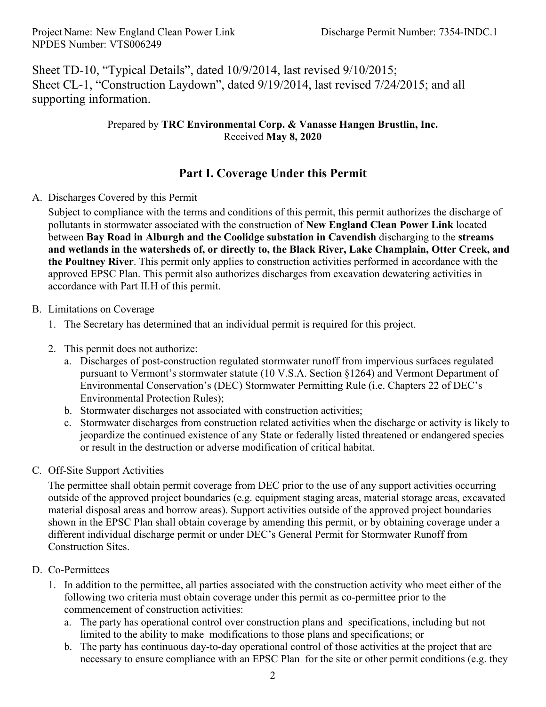Sheet TD-10, "Typical Details", dated 10/9/2014, last revised 9/10/2015; Sheet CL-1, "Construction Laydown", dated 9/19/2014, last revised 7/24/2015; and all supporting information.

### Prepared by **TRC Environmental Corp. & Vanasse Hangen Brustlin, Inc.** Received **May 8, 2020**

## **Part I. Coverage Under this Permit**

### A. Discharges Covered by this Permit

Subject to compliance with the terms and conditions of this permit, this permit authorizes the discharge of pollutants in stormwater associated with the construction of **New England Clean Power Link** located between **Bay Road in Alburgh and the Coolidge substation in Cavendish** discharging to the **streams and wetlands in the watersheds of, or directly to, the Black River, Lake Champlain, Otter Creek, and the Poultney River**. This permit only applies to construction activities performed in accordance with the approved EPSC Plan. This permit also authorizes discharges from excavation dewatering activities in accordance with Part II.H of this permit.

### B. Limitations on Coverage

- 1. The Secretary has determined that an individual permit is required for this project.
- 2. This permit does not authorize:
	- a. Discharges of post-construction regulated stormwater runoff from impervious surfaces regulated pursuant to Vermont's stormwater statute (10 V.S.A. Section §1264) and Vermont Department of Environmental Conservation's (DEC) Stormwater Permitting Rule (i.e. Chapters 22 of DEC's Environmental Protection Rules);
	- b. Stormwater discharges not associated with construction activities;
	- c. Stormwater discharges from construction related activities when the discharge or activity is likely to jeopardize the continued existence of any State or federally listed threatened or endangered species or result in the destruction or adverse modification of critical habitat.

#### C. Off-Site Support Activities

The permittee shall obtain permit coverage from DEC prior to the use of any support activities occurring outside of the approved project boundaries (e.g. equipment staging areas, material storage areas, excavated material disposal areas and borrow areas). Support activities outside of the approved project boundaries shown in the EPSC Plan shall obtain coverage by amending this permit, or by obtaining coverage under a different individual discharge permit or under DEC's General Permit for Stormwater Runoff from Construction Sites.

- D. Co-Permittees
	- 1. In addition to the permittee, all parties associated with the construction activity who meet either of the following two criteria must obtain coverage under this permit as co-permittee prior to the commencement of construction activities:
		- a. The party has operational control over construction plans and specifications, including but not limited to the ability to make modifications to those plans and specifications; or
		- b. The party has continuous day-to-day operational control of those activities at the project that are necessary to ensure compliance with an EPSC Plan for the site or other permit conditions (e.g. they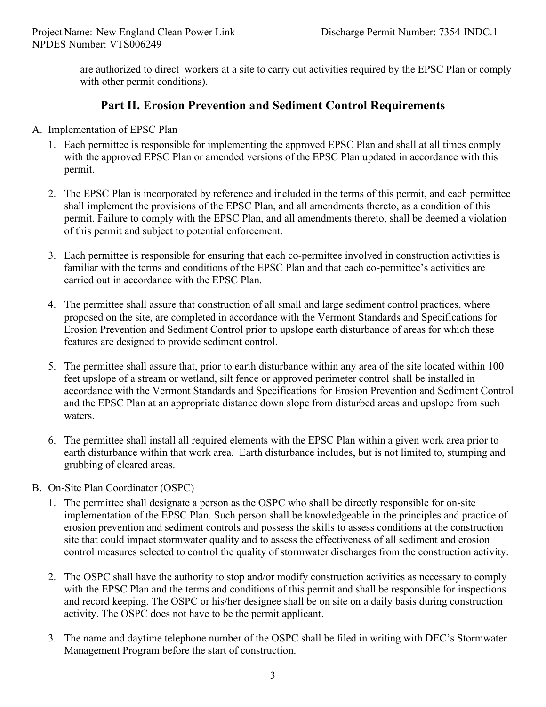are authorized to direct workers at a site to carry out activities required by the EPSC Plan or comply with other permit conditions).

## **Part II. Erosion Prevention and Sediment Control Requirements**

- A. Implementation of EPSC Plan
	- 1. Each permittee is responsible for implementing the approved EPSC Plan and shall at all times comply with the approved EPSC Plan or amended versions of the EPSC Plan updated in accordance with this permit.
	- 2. The EPSC Plan is incorporated by reference and included in the terms of this permit, and each permittee shall implement the provisions of the EPSC Plan, and all amendments thereto, as a condition of this permit. Failure to comply with the EPSC Plan, and all amendments thereto, shall be deemed a violation of this permit and subject to potential enforcement.
	- 3. Each permittee is responsible for ensuring that each co-permittee involved in construction activities is familiar with the terms and conditions of the EPSC Plan and that each co-permittee's activities are carried out in accordance with the EPSC Plan.
	- 4. The permittee shall assure that construction of all small and large sediment control practices, where proposed on the site, are completed in accordance with the Vermont Standards and Specifications for Erosion Prevention and Sediment Control prior to upslope earth disturbance of areas for which these features are designed to provide sediment control.
	- 5. The permittee shall assure that, prior to earth disturbance within any area of the site located within 100 feet upslope of a stream or wetland, silt fence or approved perimeter control shall be installed in accordance with the Vermont Standards and Specifications for Erosion Prevention and Sediment Control and the EPSC Plan at an appropriate distance down slope from disturbed areas and upslope from such waters.
	- 6. The permittee shall install all required elements with the EPSC Plan within a given work area prior to earth disturbance within that work area. Earth disturbance includes, but is not limited to, stumping and grubbing of cleared areas.
- B. On-Site Plan Coordinator (OSPC)
	- 1. The permittee shall designate a person as the OSPC who shall be directly responsible for on-site implementation of the EPSC Plan. Such person shall be knowledgeable in the principles and practice of erosion prevention and sediment controls and possess the skills to assess conditions at the construction site that could impact stormwater quality and to assess the effectiveness of all sediment and erosion control measures selected to control the quality of stormwater discharges from the construction activity.
	- 2. The OSPC shall have the authority to stop and/or modify construction activities as necessary to comply with the EPSC Plan and the terms and conditions of this permit and shall be responsible for inspections and record keeping. The OSPC or his/her designee shall be on site on a daily basis during construction activity. The OSPC does not have to be the permit applicant.
	- 3. The name and daytime telephone number of the OSPC shall be filed in writing with DEC's Stormwater Management Program before the start of construction.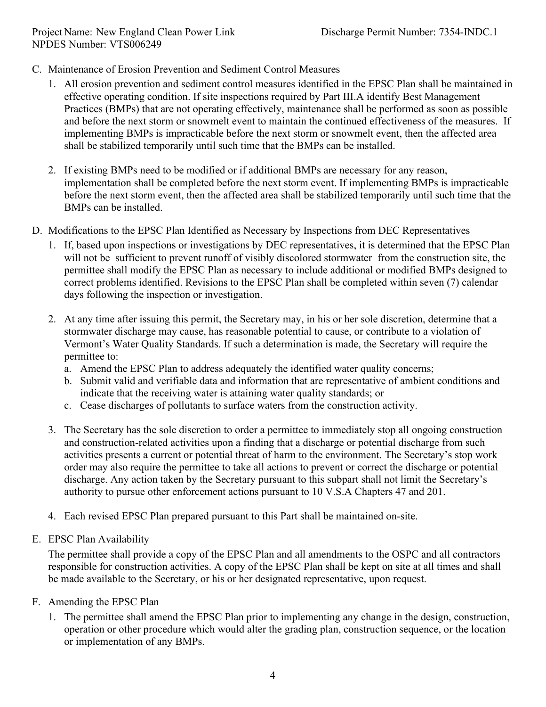- C. Maintenance of Erosion Prevention and Sediment Control Measures
	- 1. All erosion prevention and sediment control measures identified in the EPSC Plan shall be maintained in effective operating condition. If site inspections required by Part III.A identify Best Management Practices (BMPs) that are not operating effectively, maintenance shall be performed as soon as possible and before the next storm or snowmelt event to maintain the continued effectiveness of the measures. If implementing BMPs is impracticable before the next storm or snowmelt event, then the affected area shall be stabilized temporarily until such time that the BMPs can be installed.
	- 2. If existing BMPs need to be modified or if additional BMPs are necessary for any reason, implementation shall be completed before the next storm event. If implementing BMPs is impracticable before the next storm event, then the affected area shall be stabilized temporarily until such time that the BMPs can be installed.
- D. Modifications to the EPSC Plan Identified as Necessary by Inspections from DEC Representatives
	- 1. If, based upon inspections or investigations by DEC representatives, it is determined that the EPSC Plan will not be sufficient to prevent runoff of visibly discolored stormwater from the construction site, the permittee shall modify the EPSC Plan as necessary to include additional or modified BMPs designed to correct problems identified. Revisions to the EPSC Plan shall be completed within seven (7) calendar days following the inspection or investigation.
	- 2. At any time after issuing this permit, the Secretary may, in his or her sole discretion, determine that a stormwater discharge may cause, has reasonable potential to cause, or contribute to a violation of Vermont's Water Quality Standards. If such a determination is made, the Secretary will require the permittee to:
		- a. Amend the EPSC Plan to address adequately the identified water quality concerns;
		- b. Submit valid and verifiable data and information that are representative of ambient conditions and indicate that the receiving water is attaining water quality standards; or
		- c. Cease discharges of pollutants to surface waters from the construction activity.
	- 3. The Secretary has the sole discretion to order a permittee to immediately stop all ongoing construction and construction-related activities upon a finding that a discharge or potential discharge from such activities presents a current or potential threat of harm to the environment. The Secretary's stop work order may also require the permittee to take all actions to prevent or correct the discharge or potential discharge. Any action taken by the Secretary pursuant to this subpart shall not limit the Secretary's authority to pursue other enforcement actions pursuant to 10 V.S.A Chapters 47 and 201.
	- 4. Each revised EPSC Plan prepared pursuant to this Part shall be maintained on-site.
- E. EPSC Plan Availability

The permittee shall provide a copy of the EPSC Plan and all amendments to the OSPC and all contractors responsible for construction activities. A copy of the EPSC Plan shall be kept on site at all times and shall be made available to the Secretary, or his or her designated representative, upon request.

- F. Amending the EPSC Plan
	- 1. The permittee shall amend the EPSC Plan prior to implementing any change in the design, construction, operation or other procedure which would alter the grading plan, construction sequence, or the location or implementation of any BMPs.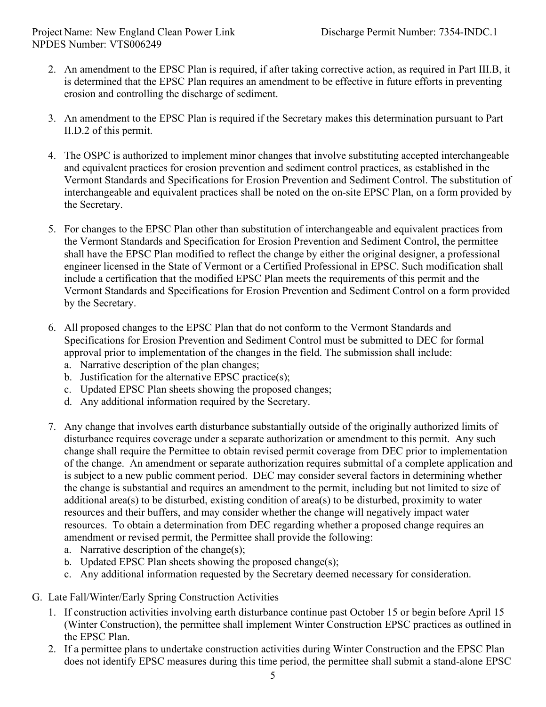- 2. An amendment to the EPSC Plan is required, if after taking corrective action, as required in Part III.B, it is determined that the EPSC Plan requires an amendment to be effective in future efforts in preventing erosion and controlling the discharge of sediment.
- 3. An amendment to the EPSC Plan is required if the Secretary makes this determination pursuant to Part II.D.2 of this permit.
- 4. The OSPC is authorized to implement minor changes that involve substituting accepted interchangeable and equivalent practices for erosion prevention and sediment control practices, as established in the Vermont Standards and Specifications for Erosion Prevention and Sediment Control. The substitution of interchangeable and equivalent practices shall be noted on the on-site EPSC Plan, on a form provided by the Secretary.
- 5. For changes to the EPSC Plan other than substitution of interchangeable and equivalent practices from the Vermont Standards and Specification for Erosion Prevention and Sediment Control, the permittee shall have the EPSC Plan modified to reflect the change by either the original designer, a professional engineer licensed in the State of Vermont or a Certified Professional in EPSC. Such modification shall include a certification that the modified EPSC Plan meets the requirements of this permit and the Vermont Standards and Specifications for Erosion Prevention and Sediment Control on a form provided by the Secretary.
- 6. All proposed changes to the EPSC Plan that do not conform to the Vermont Standards and Specifications for Erosion Prevention and Sediment Control must be submitted to DEC for formal approval prior to implementation of the changes in the field. The submission shall include:
	- a. Narrative description of the plan changes;
	- b. Justification for the alternative EPSC practice(s);
	- c. Updated EPSC Plan sheets showing the proposed changes;
	- d. Any additional information required by the Secretary.
- 7. Any change that involves earth disturbance substantially outside of the originally authorized limits of disturbance requires coverage under a separate authorization or amendment to this permit. Any such change shall require the Permittee to obtain revised permit coverage from DEC prior to implementation of the change. An amendment or separate authorization requires submittal of a complete application and is subject to a new public comment period. DEC may consider several factors in determining whether the change is substantial and requires an amendment to the permit, including but not limited to size of additional area(s) to be disturbed, existing condition of area(s) to be disturbed, proximity to water resources and their buffers, and may consider whether the change will negatively impact water resources. To obtain a determination from DEC regarding whether a proposed change requires an amendment or revised permit, the Permittee shall provide the following:
	- a. Narrative description of the change(s);
	- b. Updated EPSC Plan sheets showing the proposed change(s);
	- c. Any additional information requested by the Secretary deemed necessary for consideration.
- G. Late Fall/Winter/Early Spring Construction Activities
	- 1. If construction activities involving earth disturbance continue past October 15 or begin before April 15 (Winter Construction), the permittee shall implement Winter Construction EPSC practices as outlined in the EPSC Plan.
	- 2. If a permittee plans to undertake construction activities during Winter Construction and the EPSC Plan does not identify EPSC measures during this time period, the permittee shall submit a stand-alone EPSC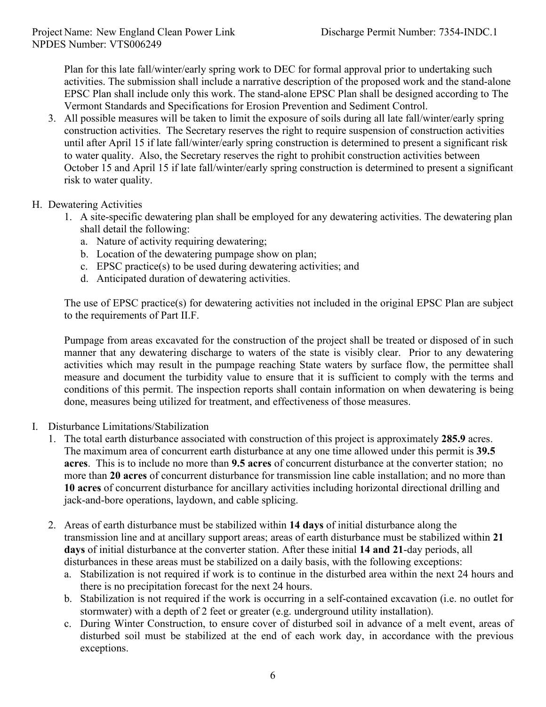Plan for this late fall/winter/early spring work to DEC for formal approval prior to undertaking such activities. The submission shall include a narrative description of the proposed work and the stand-alone EPSC Plan shall include only this work. The stand-alone EPSC Plan shall be designed according to The Vermont Standards and Specifications for Erosion Prevention and Sediment Control.

- 3. All possible measures will be taken to limit the exposure of soils during all late fall/winter/early spring construction activities. The Secretary reserves the right to require suspension of construction activities until after April 15 if late fall/winter/early spring construction is determined to present a significant risk to water quality. Also, the Secretary reserves the right to prohibit construction activities between October 15 and April 15 if late fall/winter/early spring construction is determined to present a significant risk to water quality.
- H. Dewatering Activities
	- 1. A site-specific dewatering plan shall be employed for any dewatering activities. The dewatering plan shall detail the following:
		- a. Nature of activity requiring dewatering;
		- b. Location of the dewatering pumpage show on plan;
		- c. EPSC practice(s) to be used during dewatering activities; and
		- d. Anticipated duration of dewatering activities.

The use of EPSC practice(s) for dewatering activities not included in the original EPSC Plan are subject to the requirements of Part II.F.

Pumpage from areas excavated for the construction of the project shall be treated or disposed of in such manner that any dewatering discharge to waters of the state is visibly clear. Prior to any dewatering activities which may result in the pumpage reaching State waters by surface flow, the permittee shall measure and document the turbidity value to ensure that it is sufficient to comply with the terms and conditions of this permit. The inspection reports shall contain information on when dewatering is being done, measures being utilized for treatment, and effectiveness of those measures.

- I. Disturbance Limitations/Stabilization
	- 1. The total earth disturbance associated with construction of this project is approximately **285.9** acres. The maximum area of concurrent earth disturbance at any one time allowed under this permit is **39.5 acres**. This is to include no more than **9.5 acres** of concurrent disturbance at the converter station; no more than **20 acres** of concurrent disturbance for transmission line cable installation; and no more than **10 acres** of concurrent disturbance for ancillary activities including horizontal directional drilling and jack-and-bore operations, laydown, and cable splicing.
	- 2. Areas of earth disturbance must be stabilized within **14 days** of initial disturbance along the transmission line and at ancillary support areas; areas of earth disturbance must be stabilized within **21 days** of initial disturbance at the converter station. After these initial **14 and 21**-day periods, all disturbances in these areas must be stabilized on a daily basis, with the following exceptions:
		- a. Stabilization is not required if work is to continue in the disturbed area within the next 24 hours and there is no precipitation forecast for the next 24 hours.
		- b. Stabilization is not required if the work is occurring in a self-contained excavation (i.e. no outlet for stormwater) with a depth of 2 feet or greater (e.g. underground utility installation).
		- c. During Winter Construction, to ensure cover of disturbed soil in advance of a melt event, areas of disturbed soil must be stabilized at the end of each work day, in accordance with the previous exceptions.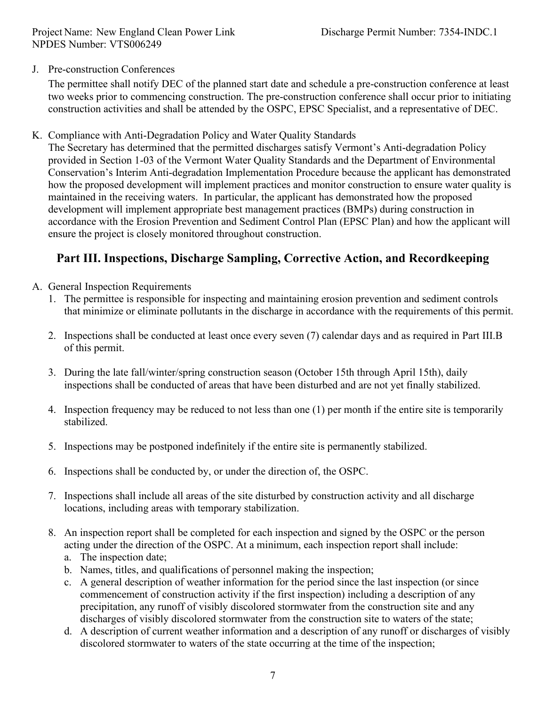J. Pre-construction Conferences

The permittee shall notify DEC of the planned start date and schedule a pre-construction conference at least two weeks prior to commencing construction. The pre-construction conference shall occur prior to initiating construction activities and shall be attended by the OSPC, EPSC Specialist, and a representative of DEC.

K. Compliance with Anti-Degradation Policy and Water Quality Standards

The Secretary has determined that the permitted discharges satisfy Vermont's Anti-degradation Policy provided in Section 1-03 of the Vermont Water Quality Standards and the Department of Environmental Conservation's Interim Anti-degradation Implementation Procedure because the applicant has demonstrated how the proposed development will implement practices and monitor construction to ensure water quality is maintained in the receiving waters. In particular, the applicant has demonstrated how the proposed development will implement appropriate best management practices (BMPs) during construction in accordance with the Erosion Prevention and Sediment Control Plan (EPSC Plan) and how the applicant will ensure the project is closely monitored throughout construction.

# **Part III. Inspections, Discharge Sampling, Corrective Action, and Recordkeeping**

- A. General Inspection Requirements
	- 1. The permittee is responsible for inspecting and maintaining erosion prevention and sediment controls that minimize or eliminate pollutants in the discharge in accordance with the requirements of this permit.
	- 2. Inspections shall be conducted at least once every seven (7) calendar days and as required in Part III.B of this permit.
	- 3. During the late fall/winter/spring construction season (October 15th through April 15th), daily inspections shall be conducted of areas that have been disturbed and are not yet finally stabilized.
	- 4. Inspection frequency may be reduced to not less than one (1) per month if the entire site is temporarily stabilized.
	- 5. Inspections may be postponed indefinitely if the entire site is permanently stabilized.
	- 6. Inspections shall be conducted by, or under the direction of, the OSPC.
	- 7. Inspections shall include all areas of the site disturbed by construction activity and all discharge locations, including areas with temporary stabilization.
	- 8. An inspection report shall be completed for each inspection and signed by the OSPC or the person acting under the direction of the OSPC. At a minimum, each inspection report shall include:
		- a. The inspection date;
		- b. Names, titles, and qualifications of personnel making the inspection;
		- c. A general description of weather information for the period since the last inspection (or since commencement of construction activity if the first inspection) including a description of any precipitation, any runoff of visibly discolored stormwater from the construction site and any discharges of visibly discolored stormwater from the construction site to waters of the state;
		- d. A description of current weather information and a description of any runoff or discharges of visibly discolored stormwater to waters of the state occurring at the time of the inspection;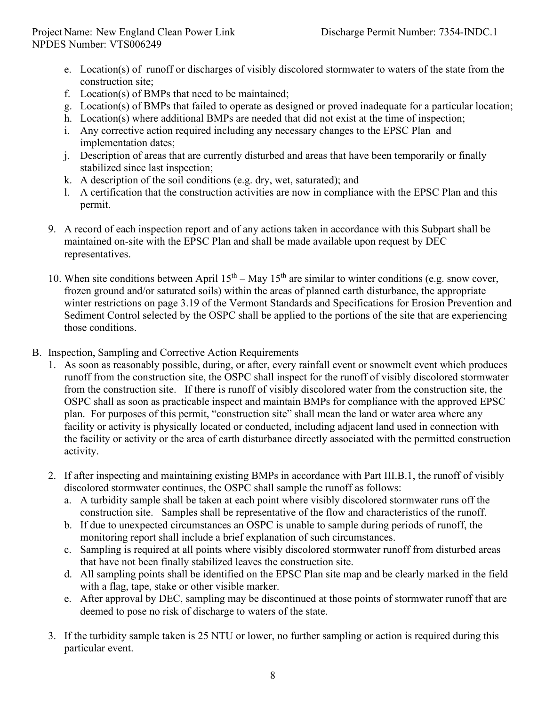- e. Location(s) of runoff or discharges of visibly discolored stormwater to waters of the state from the construction site;
- f. Location(s) of BMPs that need to be maintained;
- g. Location(s) of BMPs that failed to operate as designed or proved inadequate for a particular location;
- h. Location(s) where additional BMPs are needed that did not exist at the time of inspection;
- i. Any corrective action required including any necessary changes to the EPSC Plan and implementation dates;
- j. Description of areas that are currently disturbed and areas that have been temporarily or finally stabilized since last inspection;
- k. A description of the soil conditions (e.g. dry, wet, saturated); and
- l. A certification that the construction activities are now in compliance with the EPSC Plan and this permit.
- 9. A record of each inspection report and of any actions taken in accordance with this Subpart shall be maintained on-site with the EPSC Plan and shall be made available upon request by DEC representatives.
- 10. When site conditions between April  $15<sup>th</sup> May 15<sup>th</sup>$  are similar to winter conditions (e.g. snow cover, frozen ground and/or saturated soils) within the areas of planned earth disturbance, the appropriate winter restrictions on page 3.19 of the Vermont Standards and Specifications for Erosion Prevention and Sediment Control selected by the OSPC shall be applied to the portions of the site that are experiencing those conditions.
- B. Inspection, Sampling and Corrective Action Requirements
	- 1. As soon as reasonably possible, during, or after, every rainfall event or snowmelt event which produces runoff from the construction site, the OSPC shall inspect for the runoff of visibly discolored stormwater from the construction site. If there is runoff of visibly discolored water from the construction site, the OSPC shall as soon as practicable inspect and maintain BMPs for compliance with the approved EPSC plan. For purposes of this permit, "construction site" shall mean the land or water area where any facility or activity is physically located or conducted, including adjacent land used in connection with the facility or activity or the area of earth disturbance directly associated with the permitted construction activity.
	- 2. If after inspecting and maintaining existing BMPs in accordance with Part III.B.1, the runoff of visibly discolored stormwater continues, the OSPC shall sample the runoff as follows:
		- a. A turbidity sample shall be taken at each point where visibly discolored stormwater runs off the construction site. Samples shall be representative of the flow and characteristics of the runoff.
		- b. If due to unexpected circumstances an OSPC is unable to sample during periods of runoff, the monitoring report shall include a brief explanation of such circumstances.
		- c. Sampling is required at all points where visibly discolored stormwater runoff from disturbed areas that have not been finally stabilized leaves the construction site.
		- d. All sampling points shall be identified on the EPSC Plan site map and be clearly marked in the field with a flag, tape, stake or other visible marker.
		- e. After approval by DEC, sampling may be discontinued at those points of stormwater runoff that are deemed to pose no risk of discharge to waters of the state.
	- 3. If the turbidity sample taken is 25 NTU or lower, no further sampling or action is required during this particular event.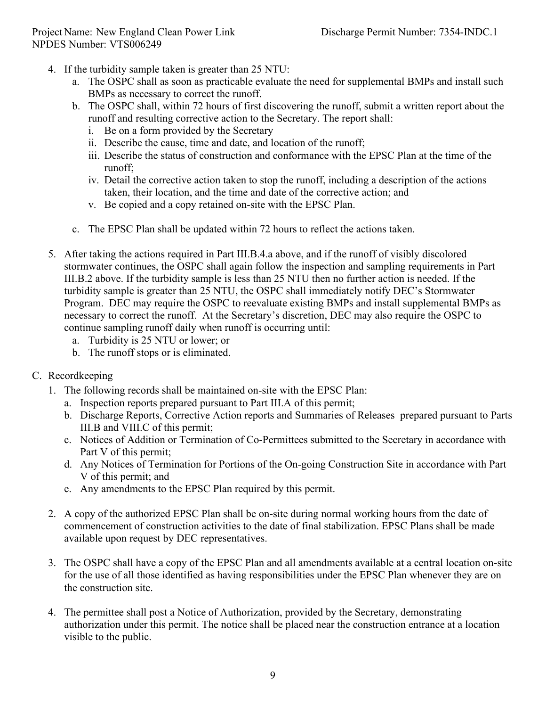- 4. If the turbidity sample taken is greater than 25 NTU:
	- a. The OSPC shall as soon as practicable evaluate the need for supplemental BMPs and install such BMPs as necessary to correct the runoff.
	- b. The OSPC shall, within 72 hours of first discovering the runoff, submit a written report about the runoff and resulting corrective action to the Secretary. The report shall:
		- i. Be on a form provided by the Secretary
		- ii. Describe the cause, time and date, and location of the runoff;
		- iii. Describe the status of construction and conformance with the EPSC Plan at the time of the runoff;
		- iv. Detail the corrective action taken to stop the runoff, including a description of the actions taken, their location, and the time and date of the corrective action; and
		- v. Be copied and a copy retained on-site with the EPSC Plan.
	- c. The EPSC Plan shall be updated within 72 hours to reflect the actions taken.
- 5. After taking the actions required in Part III.B.4.a above, and if the runoff of visibly discolored stormwater continues, the OSPC shall again follow the inspection and sampling requirements in Part III.B.2 above. If the turbidity sample is less than 25 NTU then no further action is needed. If the turbidity sample is greater than 25 NTU, the OSPC shall immediately notify DEC's Stormwater Program. DEC may require the OSPC to reevaluate existing BMPs and install supplemental BMPs as necessary to correct the runoff. At the Secretary's discretion, DEC may also require the OSPC to continue sampling runoff daily when runoff is occurring until:
	- a. Turbidity is 25 NTU or lower; or
	- b. The runoff stops or is eliminated.
- C. Recordkeeping
	- 1. The following records shall be maintained on-site with the EPSC Plan:
		- a. Inspection reports prepared pursuant to Part III.A of this permit;
		- b. Discharge Reports, Corrective Action reports and Summaries of Releases prepared pursuant to Parts III.B and VIII.C of this permit;
		- c. Notices of Addition or Termination of Co-Permittees submitted to the Secretary in accordance with Part V of this permit;
		- d. Any Notices of Termination for Portions of the On-going Construction Site in accordance with Part V of this permit; and
		- e. Any amendments to the EPSC Plan required by this permit.
	- 2. A copy of the authorized EPSC Plan shall be on-site during normal working hours from the date of commencement of construction activities to the date of final stabilization. EPSC Plans shall be made available upon request by DEC representatives.
	- 3. The OSPC shall have a copy of the EPSC Plan and all amendments available at a central location on-site for the use of all those identified as having responsibilities under the EPSC Plan whenever they are on the construction site.
	- 4. The permittee shall post a Notice of Authorization, provided by the Secretary, demonstrating authorization under this permit. The notice shall be placed near the construction entrance at a location visible to the public.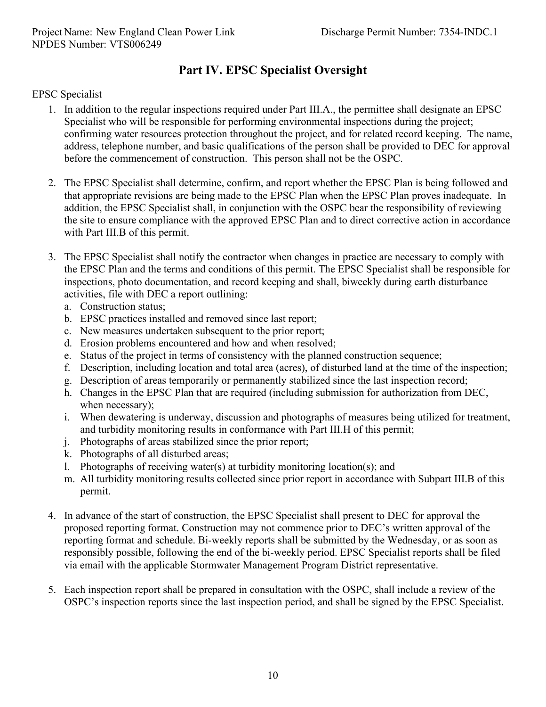# **Part IV. EPSC Specialist Oversight**

### EPSC Specialist

- 1. In addition to the regular inspections required under Part III.A., the permittee shall designate an EPSC Specialist who will be responsible for performing environmental inspections during the project; confirming water resources protection throughout the project, and for related record keeping. The name, address, telephone number, and basic qualifications of the person shall be provided to DEC for approval before the commencement of construction. This person shall not be the OSPC.
- 2. The EPSC Specialist shall determine, confirm, and report whether the EPSC Plan is being followed and that appropriate revisions are being made to the EPSC Plan when the EPSC Plan proves inadequate. In addition, the EPSC Specialist shall, in conjunction with the OSPC bear the responsibility of reviewing the site to ensure compliance with the approved EPSC Plan and to direct corrective action in accordance with Part III.B of this permit.
- 3. The EPSC Specialist shall notify the contractor when changes in practice are necessary to comply with the EPSC Plan and the terms and conditions of this permit. The EPSC Specialist shall be responsible for inspections, photo documentation, and record keeping and shall, biweekly during earth disturbance activities, file with DEC a report outlining:
	- a. Construction status;
	- b. EPSC practices installed and removed since last report;
	- c. New measures undertaken subsequent to the prior report;
	- d. Erosion problems encountered and how and when resolved;
	- e. Status of the project in terms of consistency with the planned construction sequence;
	- f. Description, including location and total area (acres), of disturbed land at the time of the inspection;
	- g. Description of areas temporarily or permanently stabilized since the last inspection record;
	- h. Changes in the EPSC Plan that are required (including submission for authorization from DEC, when necessary);
	- i. When dewatering is underway, discussion and photographs of measures being utilized for treatment, and turbidity monitoring results in conformance with Part III.H of this permit;
	- j. Photographs of areas stabilized since the prior report;
	- k. Photographs of all disturbed areas;
	- l. Photographs of receiving water(s) at turbidity monitoring location(s); and
	- m. All turbidity monitoring results collected since prior report in accordance with Subpart III.B of this permit.
- 4. In advance of the start of construction, the EPSC Specialist shall present to DEC for approval the proposed reporting format. Construction may not commence prior to DEC's written approval of the reporting format and schedule. Bi-weekly reports shall be submitted by the Wednesday, or as soon as responsibly possible, following the end of the bi-weekly period. EPSC Specialist reports shall be filed via email with the applicable Stormwater Management Program District representative.
- 5. Each inspection report shall be prepared in consultation with the OSPC, shall include a review of the OSPC's inspection reports since the last inspection period, and shall be signed by the EPSC Specialist.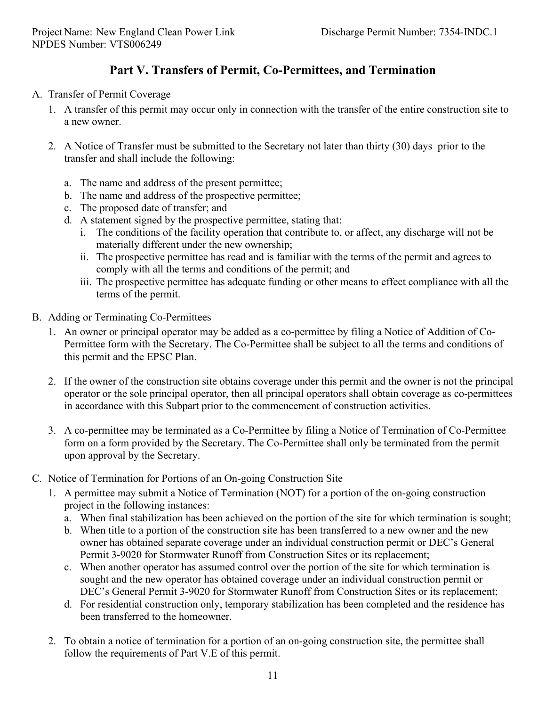# **Part V. Transfers of Permit, Co-Permittees, and Termination**

#### A. Transfer of Permit Coverage

- 1. A transfer of this permit may occur only in connection with the transfer of the entire construction site to a new owner.
- 2. A Notice of Transfer must be submitted to the Secretary not later than thirty (30) days prior to the transfer and shall include the following:
	- a. The name and address of the present permittee;
	- b. The name and address of the prospective permittee;
	- c. The proposed date of transfer; and
	- d. A statement signed by the prospective permittee, stating that:
		- i. The conditions of the facility operation that contribute to, or affect, any discharge will not be materially different under the new ownership;
		- ii. The prospective permittee has read and is familiar with the terms of the permit and agrees to comply with all the terms and conditions of the permit; and
		- iii. The prospective permittee has adequate funding or other means to effect compliance with all the terms of the permit.
- B. Adding or Terminating Co-Permittees
	- 1. An owner or principal operator may be added as a co-permittee by filing a Notice of Addition of Co-Permittee form with the Secretary. The Co-Permittee shall be subject to all the terms and conditions of this permit and the EPSC Plan.
	- 2. If the owner of the construction site obtains coverage under this permit and the owner is not the principal operator or the sole principal operator, then all principal operators shall obtain coverage as co-permittees in accordance with this Subpart prior to the commencement of construction activities.
	- 3. A co-permittee may be terminated as a Co-Permittee by filing a Notice of Termination of Co-Permittee form on a form provided by the Secretary. The Co-Permittee shall only be terminated from the permit upon approval by the Secretary.
- C. Notice of Termination for Portions of an On-going Construction Site
	- 1. A permittee may submit a Notice of Termination (NOT) for a portion of the on-going construction project in the following instances:
		- a. When final stabilization has been achieved on the portion of the site for which termination is sought;
		- b. When title to a portion of the construction site has been transferred to a new owner and the new owner has obtained separate coverage under an individual construction permit or DEC's General Permit 3-9020 for Stormwater Runoff from Construction Sites or its replacement;
		- c. When another operator has assumed control over the portion of the site for which termination is sought and the new operator has obtained coverage under an individual construction permit or DEC's General Permit 3-9020 for Stormwater Runoff from Construction Sites or its replacement;
		- d. For residential construction only, temporary stabilization has been completed and the residence has been transferred to the homeowner.
	- 2. To obtain a notice of termination for a portion of an on-going construction site, the permittee shall follow the requirements of Part V.E of this permit.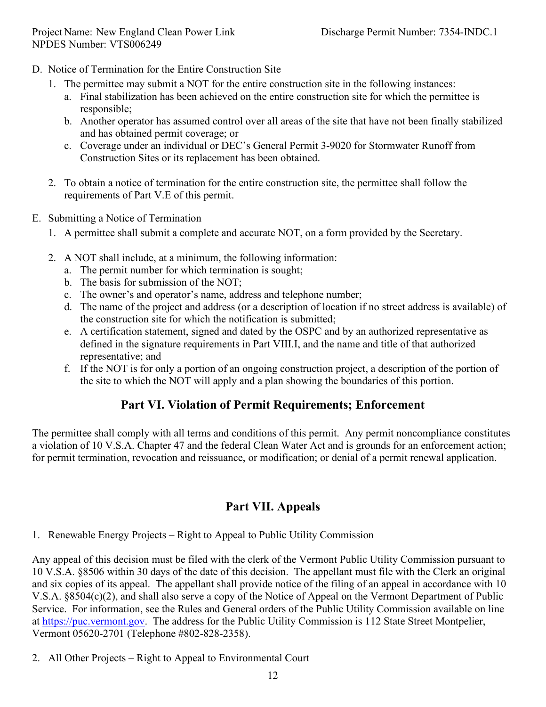- D. Notice of Termination for the Entire Construction Site
	- 1. The permittee may submit a NOT for the entire construction site in the following instances:
		- a. Final stabilization has been achieved on the entire construction site for which the permittee is responsible;
		- b. Another operator has assumed control over all areas of the site that have not been finally stabilized and has obtained permit coverage; or
		- c. Coverage under an individual or DEC's General Permit 3-9020 for Stormwater Runoff from Construction Sites or its replacement has been obtained.
	- 2. To obtain a notice of termination for the entire construction site, the permittee shall follow the requirements of Part V.E of this permit.
- E. Submitting a Notice of Termination
	- 1. A permittee shall submit a complete and accurate NOT, on a form provided by the Secretary.
	- 2. A NOT shall include, at a minimum, the following information:
		- a. The permit number for which termination is sought;
		- b. The basis for submission of the NOT;
		- c. The owner's and operator's name, address and telephone number;
		- d. The name of the project and address (or a description of location if no street address is available) of the construction site for which the notification is submitted;
		- e. A certification statement, signed and dated by the OSPC and by an authorized representative as defined in the signature requirements in Part VIII.I, and the name and title of that authorized representative; and
		- f. If the NOT is for only a portion of an ongoing construction project, a description of the portion of the site to which the NOT will apply and a plan showing the boundaries of this portion.

## **Part VI. Violation of Permit Requirements; Enforcement**

The permittee shall comply with all terms and conditions of this permit. Any permit noncompliance constitutes a violation of 10 V.S.A. Chapter 47 and the federal Clean Water Act and is grounds for an enforcement action; for permit termination, revocation and reissuance, or modification; or denial of a permit renewal application.

## **Part VII. Appeals**

1. Renewable Energy Projects – Right to Appeal to Public Utility Commission

Any appeal of this decision must be filed with the clerk of the Vermont Public Utility Commission pursuant to 10 V.S.A. §8506 within 30 days of the date of this decision. The appellant must file with the Clerk an original and six copies of its appeal. The appellant shall provide notice of the filing of an appeal in accordance with 10 V.S.A. §8504(c)(2), and shall also serve a copy of the Notice of Appeal on the Vermont Department of Public Service. For information, see the Rules and General orders of the Public Utility Commission available on line at [https://puc.vermont.gov.](https://puc.vermont.gov/) The address for the Public Utility Commission is 112 State Street Montpelier, Vermont 05620-2701 (Telephone #802-828-2358).

2. All Other Projects – Right to Appeal to Environmental Court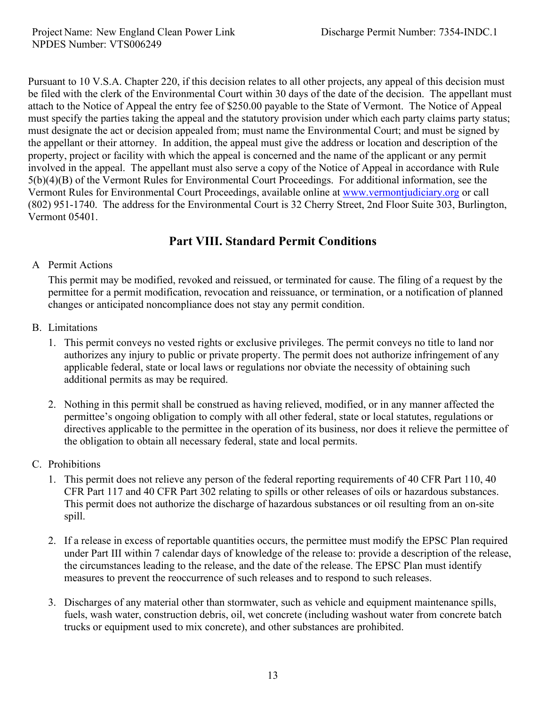Pursuant to 10 V.S.A. Chapter 220, if this decision relates to all other projects, any appeal of this decision must be filed with the clerk of the Environmental Court within 30 days of the date of the decision. The appellant must attach to the Notice of Appeal the entry fee of \$250.00 payable to the State of Vermont. The Notice of Appeal must specify the parties taking the appeal and the statutory provision under which each party claims party status; must designate the act or decision appealed from; must name the Environmental Court; and must be signed by the appellant or their attorney. In addition, the appeal must give the address or location and description of the property, project or facility with which the appeal is concerned and the name of the applicant or any permit involved in the appeal. The appellant must also serve a copy of the Notice of Appeal in accordance with Rule 5(b)(4)(B) of the Vermont Rules for Environmental Court Proceedings. For additional information, see the Vermont Rules for Environmental Court Proceedings, available online at [www.vermontjudiciary.org](http://www.vermontjudiciary.org/) or call (802) 951-1740. The address for the Environmental Court is 32 Cherry Street, 2nd Floor Suite 303, Burlington, Vermont 05401.

## **Part VIII. Standard Permit Conditions**

### A Permit Actions

This permit may be modified, revoked and reissued, or terminated for cause. The filing of a request by the permittee for a permit modification, revocation and reissuance, or termination, or a notification of planned changes or anticipated noncompliance does not stay any permit condition.

- B. Limitations
	- 1. This permit conveys no vested rights or exclusive privileges. The permit conveys no title to land nor authorizes any injury to public or private property. The permit does not authorize infringement of any applicable federal, state or local laws or regulations nor obviate the necessity of obtaining such additional permits as may be required.
	- 2. Nothing in this permit shall be construed as having relieved, modified, or in any manner affected the permittee's ongoing obligation to comply with all other federal, state or local statutes, regulations or directives applicable to the permittee in the operation of its business, nor does it relieve the permittee of the obligation to obtain all necessary federal, state and local permits.

## C. Prohibitions

- 1. This permit does not relieve any person of the federal reporting requirements of 40 CFR Part 110, 40 CFR Part 117 and 40 CFR Part 302 relating to spills or other releases of oils or hazardous substances. This permit does not authorize the discharge of hazardous substances or oil resulting from an on-site spill.
- 2. If a release in excess of reportable quantities occurs, the permittee must modify the EPSC Plan required under Part III within 7 calendar days of knowledge of the release to: provide a description of the release, the circumstances leading to the release, and the date of the release. The EPSC Plan must identify measures to prevent the reoccurrence of such releases and to respond to such releases.
- 3. Discharges of any material other than stormwater, such as vehicle and equipment maintenance spills, fuels, wash water, construction debris, oil, wet concrete (including washout water from concrete batch trucks or equipment used to mix concrete), and other substances are prohibited.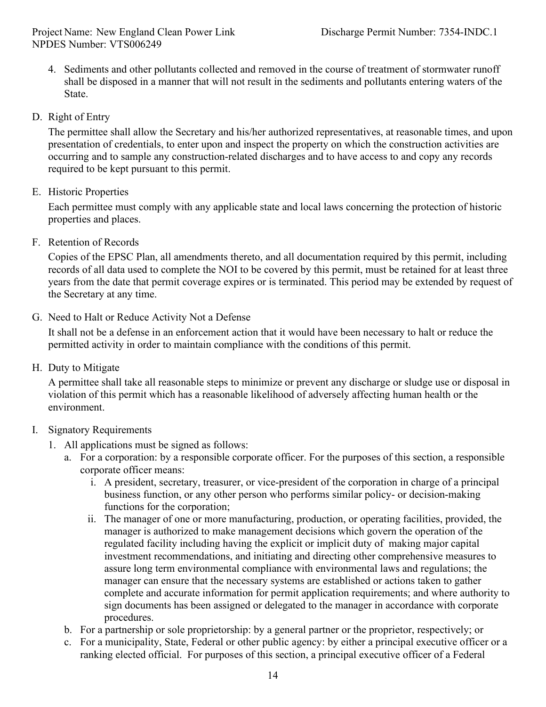- 4. Sediments and other pollutants collected and removed in the course of treatment of stormwater runoff shall be disposed in a manner that will not result in the sediments and pollutants entering waters of the State.
- D. Right of Entry

The permittee shall allow the Secretary and his/her authorized representatives, at reasonable times, and upon presentation of credentials, to enter upon and inspect the property on which the construction activities are occurring and to sample any construction-related discharges and to have access to and copy any records required to be kept pursuant to this permit.

E. Historic Properties

Each permittee must comply with any applicable state and local laws concerning the protection of historic properties and places.

F. Retention of Records

Copies of the EPSC Plan, all amendments thereto, and all documentation required by this permit, including records of all data used to complete the NOI to be covered by this permit, must be retained for at least three years from the date that permit coverage expires or is terminated. This period may be extended by request of the Secretary at any time.

G. Need to Halt or Reduce Activity Not a Defense

It shall not be a defense in an enforcement action that it would have been necessary to halt or reduce the permitted activity in order to maintain compliance with the conditions of this permit.

H. Duty to Mitigate

A permittee shall take all reasonable steps to minimize or prevent any discharge or sludge use or disposal in violation of this permit which has a reasonable likelihood of adversely affecting human health or the environment.

- I. Signatory Requirements
	- 1. All applications must be signed as follows:
		- a. For a corporation: by a responsible corporate officer. For the purposes of this section, a responsible corporate officer means:
			- i. A president, secretary, treasurer, or vice-president of the corporation in charge of a principal business function, or any other person who performs similar policy- or decision-making functions for the corporation;
			- ii. The manager of one or more manufacturing, production, or operating facilities, provided, the manager is authorized to make management decisions which govern the operation of the regulated facility including having the explicit or implicit duty of making major capital investment recommendations, and initiating and directing other comprehensive measures to assure long term environmental compliance with environmental laws and regulations; the manager can ensure that the necessary systems are established or actions taken to gather complete and accurate information for permit application requirements; and where authority to sign documents has been assigned or delegated to the manager in accordance with corporate procedures.
		- b. For a partnership or sole proprietorship: by a general partner or the proprietor, respectively; or
		- c. For a municipality, State, Federal or other public agency: by either a principal executive officer or a ranking elected official. For purposes of this section, a principal executive officer of a Federal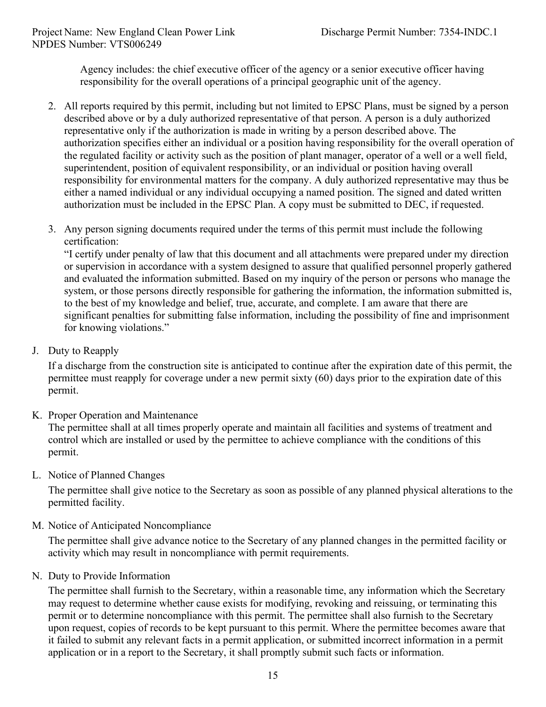Agency includes: the chief executive officer of the agency or a senior executive officer having responsibility for the overall operations of a principal geographic unit of the agency.

- 2. All reports required by this permit, including but not limited to EPSC Plans, must be signed by a person described above or by a duly authorized representative of that person. A person is a duly authorized representative only if the authorization is made in writing by a person described above. The authorization specifies either an individual or a position having responsibility for the overall operation of the regulated facility or activity such as the position of plant manager, operator of a well or a well field, superintendent, position of equivalent responsibility, or an individual or position having overall responsibility for environmental matters for the company. A duly authorized representative may thus be either a named individual or any individual occupying a named position. The signed and dated written authorization must be included in the EPSC Plan. A copy must be submitted to DEC, if requested.
- 3. Any person signing documents required under the terms of this permit must include the following certification:

"I certify under penalty of law that this document and all attachments were prepared under my direction or supervision in accordance with a system designed to assure that qualified personnel properly gathered and evaluated the information submitted. Based on my inquiry of the person or persons who manage the system, or those persons directly responsible for gathering the information, the information submitted is, to the best of my knowledge and belief, true, accurate, and complete. I am aware that there are significant penalties for submitting false information, including the possibility of fine and imprisonment for knowing violations."

J. Duty to Reapply

If a discharge from the construction site is anticipated to continue after the expiration date of this permit, the permittee must reapply for coverage under a new permit sixty (60) days prior to the expiration date of this permit.

K. Proper Operation and Maintenance

The permittee shall at all times properly operate and maintain all facilities and systems of treatment and control which are installed or used by the permittee to achieve compliance with the conditions of this permit.

L. Notice of Planned Changes

The permittee shall give notice to the Secretary as soon as possible of any planned physical alterations to the permitted facility.

M. Notice of Anticipated Noncompliance

The permittee shall give advance notice to the Secretary of any planned changes in the permitted facility or activity which may result in noncompliance with permit requirements.

N. Duty to Provide Information

The permittee shall furnish to the Secretary, within a reasonable time, any information which the Secretary may request to determine whether cause exists for modifying, revoking and reissuing, or terminating this permit or to determine noncompliance with this permit. The permittee shall also furnish to the Secretary upon request, copies of records to be kept pursuant to this permit. Where the permittee becomes aware that it failed to submit any relevant facts in a permit application, or submitted incorrect information in a permit application or in a report to the Secretary, it shall promptly submit such facts or information.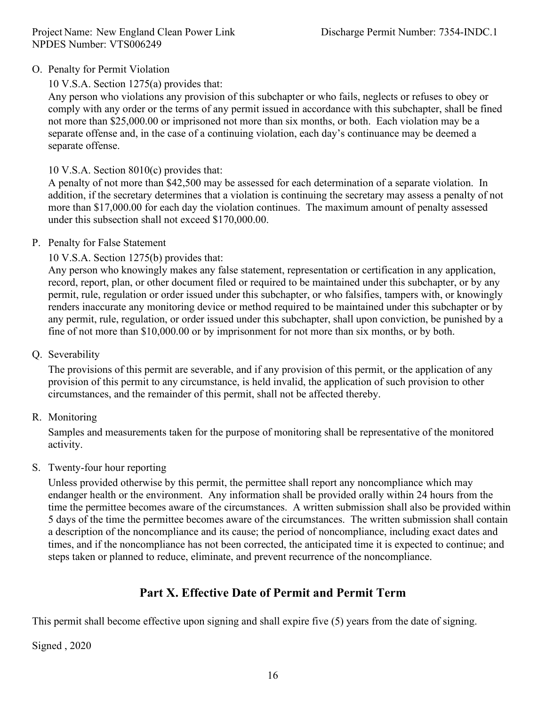### O. Penalty for Permit Violation

## 10 V.S.A. Section 1275(a) provides that:

Any person who violations any provision of this subchapter or who fails, neglects or refuses to obey or comply with any order or the terms of any permit issued in accordance with this subchapter, shall be fined not more than \$25,000.00 or imprisoned not more than six months, or both. Each violation may be a separate offense and, in the case of a continuing violation, each day's continuance may be deemed a separate offense.

#### 10 V.S.A. Section 8010(c) provides that:

A penalty of not more than \$42,500 may be assessed for each determination of a separate violation. In addition, if the secretary determines that a violation is continuing the secretary may assess a penalty of not more than \$17,000.00 for each day the violation continues. The maximum amount of penalty assessed under this subsection shall not exceed \$170,000.00.

#### P. Penalty for False Statement

### 10 V.S.A. Section 1275(b) provides that:

Any person who knowingly makes any false statement, representation or certification in any application, record, report, plan, or other document filed or required to be maintained under this subchapter, or by any permit, rule, regulation or order issued under this subchapter, or who falsifies, tampers with, or knowingly renders inaccurate any monitoring device or method required to be maintained under this subchapter or by any permit, rule, regulation, or order issued under this subchapter, shall upon conviction, be punished by a fine of not more than \$10,000.00 or by imprisonment for not more than six months, or by both.

### Q. Severability

The provisions of this permit are severable, and if any provision of this permit, or the application of any provision of this permit to any circumstance, is held invalid, the application of such provision to other circumstances, and the remainder of this permit, shall not be affected thereby.

#### R. Monitoring

Samples and measurements taken for the purpose of monitoring shall be representative of the monitored activity.

#### S. Twenty-four hour reporting

Unless provided otherwise by this permit, the permittee shall report any noncompliance which may endanger health or the environment. Any information shall be provided orally within 24 hours from the time the permittee becomes aware of the circumstances. A written submission shall also be provided within 5 days of the time the permittee becomes aware of the circumstances. The written submission shall contain a description of the noncompliance and its cause; the period of noncompliance, including exact dates and times, and if the noncompliance has not been corrected, the anticipated time it is expected to continue; and steps taken or planned to reduce, eliminate, and prevent recurrence of the noncompliance.

# **Part X. Effective Date of Permit and Permit Term**

This permit shall become effective upon signing and shall expire five (5) years from the date of signing.

Signed , 2020